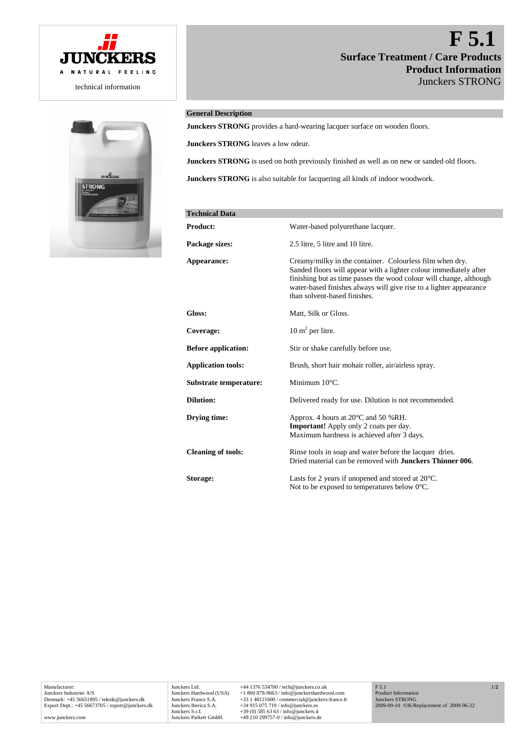



# **F 5.1 Surface Treatment / Care Products Product Information** Junckers STRONG

# **General Description**

**Junckers STRONG** provides a hard-wearing lacquer surface on wooden floors.

**Junckers STRONG** leaves a low odeur.

**Junckers STRONG** is used on both previously finished as well as on new or sanded old floors.

**Junckers STRONG** is also suitable for lacquering all kinds of indoor woodwork.

| <b>Technical Data</b>      |                                                                                                                                                                                                                                                                                                           |
|----------------------------|-----------------------------------------------------------------------------------------------------------------------------------------------------------------------------------------------------------------------------------------------------------------------------------------------------------|
| <b>Product:</b>            | Water-based polyurethane lacquer.                                                                                                                                                                                                                                                                         |
| Package sizes:             | 2.5 litre, 5 litre and 10 litre.                                                                                                                                                                                                                                                                          |
| Appearance:                | Creamy/milky in the container. Colourless film when dry.<br>Sanded floors will appear with a lighter colour immediately after<br>finishing but as time passes the wood colour will change, although<br>water-based finishes always will give rise to a lighter appearance<br>than solvent-based finishes. |
| Gloss:                     | Matt, Silk or Gloss.                                                                                                                                                                                                                                                                                      |
| Coverage:                  | $10 \text{ m}^2$ per litre.                                                                                                                                                                                                                                                                               |
| <b>Before application:</b> | Stir or shake carefully before use.                                                                                                                                                                                                                                                                       |
| <b>Application tools:</b>  | Brush, short hair mohair roller, air/airless spray.                                                                                                                                                                                                                                                       |
| Substrate temperature:     | Minimum $10^{\circ}$ C.                                                                                                                                                                                                                                                                                   |
| <b>Dilution:</b>           | Delivered ready for use. Dilution is not recommended.                                                                                                                                                                                                                                                     |
| Drying time:               | Approx. 4 hours at 20°C and 50 %RH.<br><b>Important!</b> Apply only 2 coats per day.<br>Maximum hardness is achieved after 3 days.                                                                                                                                                                        |
| <b>Cleaning of tools:</b>  | Rinse tools in soap and water before the lacquer dries.<br>Dried material can be removed with <b>Junckers Thinner 006</b> .                                                                                                                                                                               |
| Storage:                   | Lasts for 2 years if unopened and stored at $20^{\circ}$ C.<br>Not to be exposed to temperatures below $0^{\circ}$ C.                                                                                                                                                                                     |

Manufacturer: Junckers Industrier A/S Denmark: +45 56651895 / teknik@junckers.dk Export Dept.: +45 56673705 / export@junckers.dk

www.junckers.com

Junckers Ltd. +44 1376 534700 / tech@junckers.co.uk<br>Junckers Hardwood (USA) +1 800 878-9663 / info@junckershardwc Junckers Hardwood (USA) +1 800 878-9663 / info@junckershardwood.com<br>Junckers France S.A. +33 1 48121600 / commercial@junckers-france.<br>Junckers Iberica S.A. +34 915 075 719 / info@junckers.es Junckers France S.A. +33 1 48121600 / commercial@junckers-france.fr<br>Junckers Iberica S.A. +34 915 075 719 / info@junckers.es<br>Junckers S.r.I. +39 (0) 585 63 63 / info@junckers.it<br>Junckers Parkett GmbH. +49 210 299757-0 / in 1/**2**